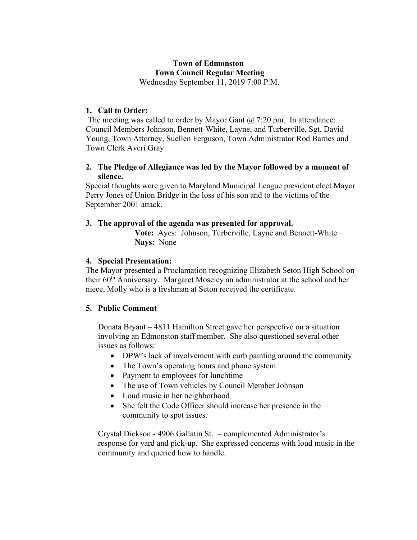# **Town of Edmonston Town Council Regular Meeting**

Wednesday September 11, 2019 7:00 P.M.

## **1. Call to Order:**

The meeting was called to order by Mayor Gant  $\omega$  7:20 pm. In attendance: Council Members Johnson, Bennett-White, Layne, and Turberville, Sgt. David Young, Town Attorney, Suellen Ferguson, Town Administrator Rod Barnes and Town Clerk Averi Gray

### **2. The Pledge of Allegiance was led by the Mayor followed by a moment of silence.**

Special thoughts were given to Maryland Municipal League president elect Mayor Perry Jones of Union Bridge in the loss of his son and to the victims of the September 2001 attack.

### **3. The approval of the agenda was presented for approval.**

**Vote:** Ayes: Johnson, Turberville, Layne and Bennett-White **Nays:** None

# **4. Special Presentation:**

The Mayor presented a Proclamation recognizing Elizabeth Seton High School on their 60<sup>th</sup> Anniversary. Margaret Moseley an administrator at the school and her niece, Molly who is a freshman at Seton received the certificate.

### **5. Public Comment**

Donata Bryant – 4811 Hamilton Street gave her perspective on a situation involving an Edmonston staff member. She also questioned several other issues as follows:

- DPW's lack of involvement with curb painting around the community
- The Town's operating hours and phone system
- Payment to employees for lunchtime
- The use of Town vehicles by Council Member Johnson
- Loud music in her neighborhood
- She felt the Code Officer should increase her presence in the community to spot issues.

Crystal Dickson - 4906 Gallatin St. – complemented Administrator's response for yard and pick-up. She expressed concerns with loud music in the community and queried how to handle.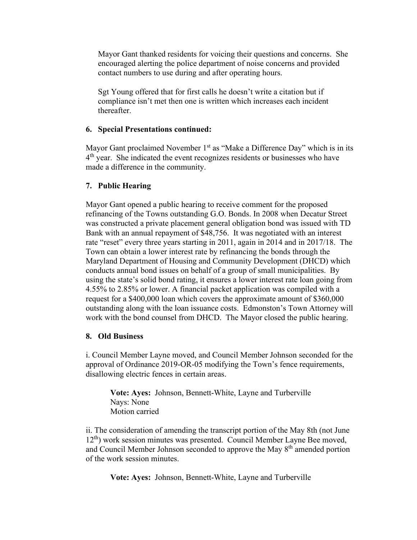Mayor Gant thanked residents for voicing their questions and concerns. She encouraged alerting the police department of noise concerns and provided contact numbers to use during and after operating hours.

Sgt Young offered that for first calls he doesn't write a citation but if compliance isn't met then one is written which increases each incident thereafter.

#### **6. Special Presentations continued:**

Mayor Gant proclaimed November  $1<sup>st</sup>$  as "Make a Difference Day" which is in its  $4<sup>th</sup>$  year. She indicated the event recognizes residents or businesses who have made a difference in the community.

### **7. Public Hearing**

Mayor Gant opened a public hearing to receive comment for the proposed refinancing of the Towns outstanding G.O. Bonds. In 2008 when Decatur Street was constructed a private placement general obligation bond was issued with TD Bank with an annual repayment of \$48,756. It was negotiated with an interest rate "reset" every three years starting in 2011, again in 2014 and in 2017/18. The Town can obtain a lower interest rate by refinancing the bonds through the Maryland Department of Housing and Community Development (DHCD) which conducts annual bond issues on behalf of a group of small municipalities. By using the state's solid bond rating, it ensures a lower interest rate loan going from 4.55% to 2.85% or lower. A financial packet application was compiled with a request for a \$400,000 loan which covers the approximate amount of \$360,000 outstanding along with the loan issuance costs. Edmonston's Town Attorney will work with the bond counsel from DHCD. The Mayor closed the public hearing.

### **8. Old Business**

i. Council Member Layne moved, and Council Member Johnson seconded for the approval of Ordinance 2019-OR-05 modifying the Town's fence requirements, disallowing electric fences in certain areas.

**Vote: Ayes:** Johnson, Bennett-White, Layne and Turberville Nays: None Motion carried

ii. The consideration of amending the transcript portion of the May 8th (not June 12<sup>th</sup>) work session minutes was presented. Council Member Layne Bee moved, and Council Member Johnson seconded to approve the May 8<sup>th</sup> amended portion of the work session minutes.

**Vote: Ayes:** Johnson, Bennett-White, Layne and Turberville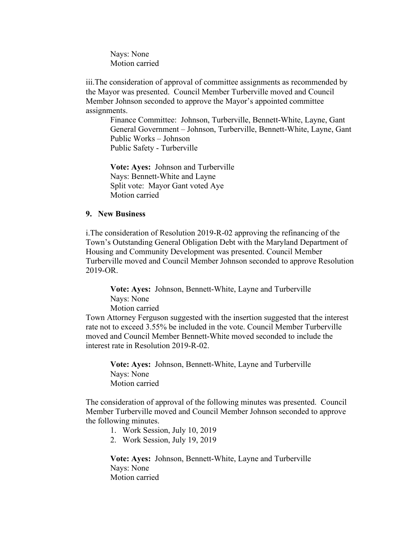Nays: None Motion carried

iii.The consideration of approval of committee assignments as recommended by the Mayor was presented. Council Member Turberville moved and Council Member Johnson seconded to approve the Mayor's appointed committee assignments.

Finance Committee: Johnson, Turberville, Bennett-White, Layne, Gant General Government – Johnson, Turberville, Bennett-White, Layne, Gant Public Works – Johnson Public Safety - Turberville

**Vote: Ayes:** Johnson and Turberville Nays: Bennett-White and Layne Split vote: Mayor Gant voted Aye Motion carried

#### **9. New Business**

i.The consideration of Resolution 2019-R-02 approving the refinancing of the Town's Outstanding General Obligation Debt with the Maryland Department of Housing and Community Development was presented. Council Member Turberville moved and Council Member Johnson seconded to approve Resolution 2019-OR.

**Vote: Ayes:** Johnson, Bennett-White, Layne and Turberville Nays: None Motion carried

Town Attorney Ferguson suggested with the insertion suggested that the interest rate not to exceed 3.55% be included in the vote. Council Member Turberville moved and Council Member Bennett-White moved seconded to include the interest rate in Resolution 2019-R-02.

**Vote: Ayes:** Johnson, Bennett-White, Layne and Turberville Nays: None Motion carried

The consideration of approval of the following minutes was presented. Council Member Turberville moved and Council Member Johnson seconded to approve the following minutes.

- 1. Work Session, July 10, 2019
- 2. Work Session, July 19, 2019

**Vote: Ayes:** Johnson, Bennett-White, Layne and Turberville Nays: None Motion carried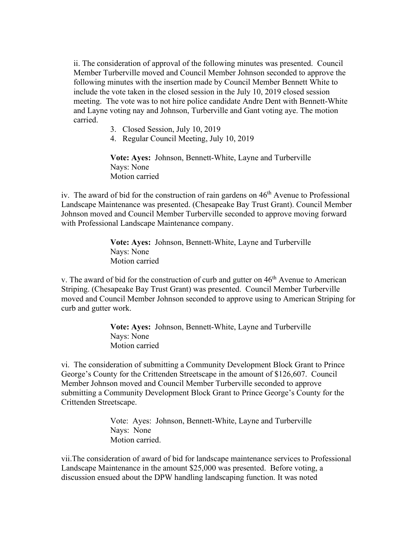ii. The consideration of approval of the following minutes was presented. Council Member Turberville moved and Council Member Johnson seconded to approve the following minutes with the insertion made by Council Member Bennett White to include the vote taken in the closed session in the July 10, 2019 closed session meeting. The vote was to not hire police candidate Andre Dent with Bennett-White and Layne voting nay and Johnson, Turberville and Gant voting aye. The motion carried.

- 3. Closed Session, July 10, 2019
- 4. Regular Council Meeting, July 10, 2019

**Vote: Ayes:** Johnson, Bennett-White, Layne and Turberville Nays: None Motion carried

iv. The award of bid for the construction of rain gardens on  $46<sup>th</sup>$  Avenue to Professional Landscape Maintenance was presented. (Chesapeake Bay Trust Grant). Council Member Johnson moved and Council Member Turberville seconded to approve moving forward with Professional Landscape Maintenance company.

> **Vote: Ayes:** Johnson, Bennett-White, Layne and Turberville Nays: None Motion carried

v. The award of bid for the construction of curb and gutter on  $46<sup>th</sup>$  Avenue to American Striping. (Chesapeake Bay Trust Grant) was presented. Council Member Turberville moved and Council Member Johnson seconded to approve using to American Striping for curb and gutter work.

> **Vote: Ayes:** Johnson, Bennett-White, Layne and Turberville Nays: None Motion carried

vi. The consideration of submitting a Community Development Block Grant to Prince George's County for the Crittenden Streetscape in the amount of \$126,607. Council Member Johnson moved and Council Member Turberville seconded to approve submitting a Community Development Block Grant to Prince George's County for the Crittenden Streetscape.

> Vote: Ayes: Johnson, Bennett-White, Layne and Turberville Nays: None Motion carried.

vii.The consideration of award of bid for landscape maintenance services to Professional Landscape Maintenance in the amount \$25,000 was presented. Before voting, a discussion ensued about the DPW handling landscaping function. It was noted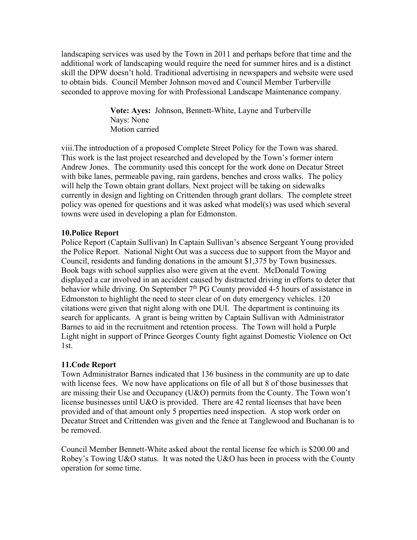landscaping services was used by the Town in 2011 and perhaps before that time and the additional work of landscaping would require the need for summer hires and is a distinct skill the DPW doesn't hold. Traditional advertising in newspapers and website were used to obtain bids. Council Member Johnson moved and Council Member Turberville seconded to approve moving for with Professional Landscape Maintenance company.

> **Vote: Ayes:** Johnson, Bennett-White, Layne and Turberville Nays: None Motion carried

viii.The introduction of a proposed Complete Street Policy for the Town was shared. This work is the last project researched and developed by the Town's former intern Andrew Jones. The community used this concept for the work done on Decatur Street with bike lanes, permeable paving, rain gardens, benches and cross walks. The policy will help the Town obtain grant dollars. Next project will be taking on sidewalks currently in design and lighting on Crittenden through grant dollars. The complete street policy was opened for questions and it was asked what model(s) was used which several towns were used in developing a plan for Edmonston.

#### **10.Police Report**

Police Report (Captain Sullivan) In Captain Sullivan's absence Sergeant Young provided the Police Report. National Night Out was a success due to support from the Mayor and Council, residents and funding donations in the amount \$1,375 by Town businesses. Book bags with school supplies also were given at the event. McDonald Towing displayed a car involved in an accident caused by distracted driving in efforts to deter that behavior while driving. On September  $7<sup>th</sup>$  PG County provided 4-5 hours of assistance in Edmonston to highlight the need to steer clear of on duty emergency vehicles. 120 citations were given that night along with one DUI. The department is continuing its search for applicants. A grant is being written by Captain Sullivan with Administrator Barnes to aid in the recruitment and retention process. The Town will hold a Purple Light night in support of Prince Georges County fight against Domestic Violence on Oct 1st.

### **11.Code Report**

Town Administrator Barnes indicated that 136 business in the community are up to date with license fees. We now have applications on file of all but 8 of those businesses that are missing their Use and Occupancy (U&O) permits from the County. The Town won't license businesses until U&O is provided. There are 42 rental licenses that have been provided and of that amount only 5 properties need inspection. A stop work order on Decatur Street and Crittenden was given and the fence at Tanglewood and Buchanan is to be removed.

Council Member Bennett-White asked about the rental license fee which is \$200.00 and Robey's Towing U&O status. It was noted the U&O has been in process with the County operation for some time.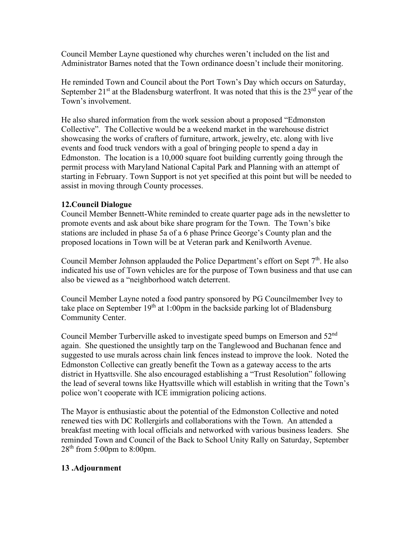Council Member Layne questioned why churches weren't included on the list and Administrator Barnes noted that the Town ordinance doesn't include their monitoring.

He reminded Town and Council about the Port Town's Day which occurs on Saturday, September  $21<sup>st</sup>$  at the Bladensburg waterfront. It was noted that this is the  $23<sup>rd</sup>$  year of the Town's involvement.

He also shared information from the work session about a proposed "Edmonston Collective". The Collective would be a weekend market in the warehouse district showcasing the works of crafters of furniture, artwork, jewelry, etc. along with live events and food truck vendors with a goal of bringing people to spend a day in Edmonston. The location is a 10,000 square foot building currently going through the permit process with Maryland National Capital Park and Planning with an attempt of starting in February. Town Support is not yet specified at this point but will be needed to assist in moving through County processes.

### **12.Council Dialogue**

Council Member Bennett-White reminded to create quarter page ads in the newsletter to promote events and ask about bike share program for the Town. The Town's bike stations are included in phase 5a of a 6 phase Prince George's County plan and the proposed locations in Town will be at Veteran park and Kenilworth Avenue.

Council Member Johnson applauded the Police Department's effort on Sept 7<sup>th</sup>. He also indicated his use of Town vehicles are for the purpose of Town business and that use can also be viewed as a "neighborhood watch deterrent.

Council Member Layne noted a food pantry sponsored by PG Councilmember Ivey to take place on September  $19<sup>th</sup>$  at 1:00pm in the backside parking lot of Bladensburg Community Center.

Council Member Turberville asked to investigate speed bumps on Emerson and  $52<sup>nd</sup>$ again. She questioned the unsightly tarp on the Tanglewood and Buchanan fence and suggested to use murals across chain link fences instead to improve the look. Noted the Edmonston Collective can greatly benefit the Town as a gateway access to the arts district in Hyattsville. She also encouraged establishing a "Trust Resolution" following the lead of several towns like Hyattsville which will establish in writing that the Town's police won't cooperate with ICE immigration policing actions.

The Mayor is enthusiastic about the potential of the Edmonston Collective and noted renewed ties with DC Rollergirls and collaborations with the Town. An attended a breakfast meeting with local officials and networked with various business leaders. She reminded Town and Council of the Back to School Unity Rally on Saturday, September  $28<sup>th</sup>$  from 5:00pm to 8:00pm.

### **13 .Adjournment**